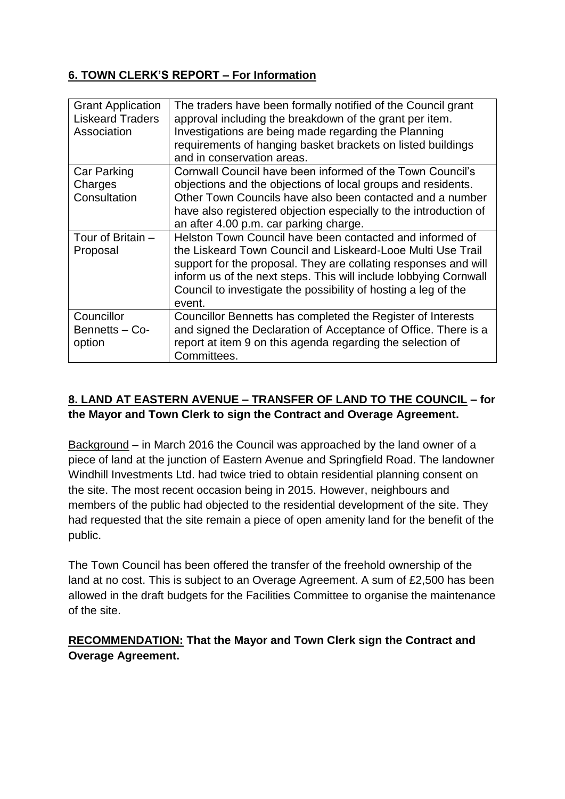### **6. TOWN CLERK'S REPORT – For Information**

| <b>Grant Application</b><br><b>Liskeard Traders</b><br>Association | The traders have been formally notified of the Council grant<br>approval including the breakdown of the grant per item.<br>Investigations are being made regarding the Planning<br>requirements of hanging basket brackets on listed buildings<br>and in conservation areas.                                                               |
|--------------------------------------------------------------------|--------------------------------------------------------------------------------------------------------------------------------------------------------------------------------------------------------------------------------------------------------------------------------------------------------------------------------------------|
| Car Parking<br>Charges<br>Consultation                             | Cornwall Council have been informed of the Town Council's<br>objections and the objections of local groups and residents.<br>Other Town Councils have also been contacted and a number<br>have also registered objection especially to the introduction of<br>an after 4.00 p.m. car parking charge.                                       |
| Tour of Britain -<br>Proposal                                      | Helston Town Council have been contacted and informed of<br>the Liskeard Town Council and Liskeard-Looe Multi Use Trail<br>support for the proposal. They are collating responses and will<br>inform us of the next steps. This will include lobbying Cornwall<br>Council to investigate the possibility of hosting a leg of the<br>event. |
| Councillor<br>Bennetts - Co-<br>option                             | Councillor Bennetts has completed the Register of Interests<br>and signed the Declaration of Acceptance of Office. There is a<br>report at item 9 on this agenda regarding the selection of<br>Committees.                                                                                                                                 |

# **8. LAND AT EASTERN AVENUE – TRANSFER OF LAND TO THE COUNCIL – for the Mayor and Town Clerk to sign the Contract and Overage Agreement.**

Background – in March 2016 the Council was approached by the land owner of a piece of land at the junction of Eastern Avenue and Springfield Road. The landowner Windhill Investments Ltd. had twice tried to obtain residential planning consent on the site. The most recent occasion being in 2015. However, neighbours and members of the public had objected to the residential development of the site. They had requested that the site remain a piece of open amenity land for the benefit of the public.

The Town Council has been offered the transfer of the freehold ownership of the land at no cost. This is subject to an Overage Agreement. A sum of £2,500 has been allowed in the draft budgets for the Facilities Committee to organise the maintenance of the site.

### **RECOMMENDATION: That the Mayor and Town Clerk sign the Contract and Overage Agreement.**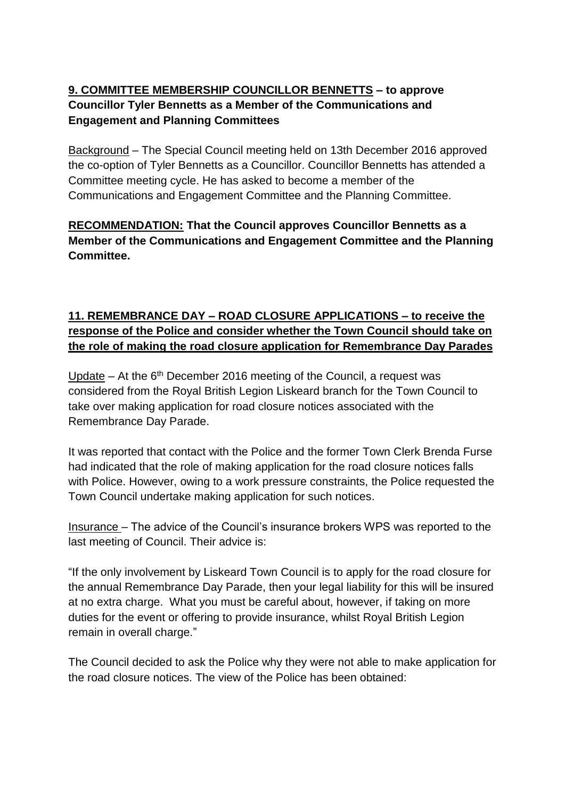# **9. COMMITTEE MEMBERSHIP COUNCILLOR BENNETTS – to approve Councillor Tyler Bennetts as a Member of the Communications and Engagement and Planning Committees**

Background – The Special Council meeting held on 13th December 2016 approved the co-option of Tyler Bennetts as a Councillor. Councillor Bennetts has attended a Committee meeting cycle. He has asked to become a member of the Communications and Engagement Committee and the Planning Committee.

### **RECOMMENDATION: That the Council approves Councillor Bennetts as a Member of the Communications and Engagement Committee and the Planning Committee.**

### **11. REMEMBRANCE DAY – ROAD CLOSURE APPLICATIONS – to receive the response of the Police and consider whether the Town Council should take on the role of making the road closure application for Remembrance Day Parades**

Update – At the  $6<sup>th</sup>$  December 2016 meeting of the Council, a request was considered from the Royal British Legion Liskeard branch for the Town Council to take over making application for road closure notices associated with the Remembrance Day Parade.

It was reported that contact with the Police and the former Town Clerk Brenda Furse had indicated that the role of making application for the road closure notices falls with Police. However, owing to a work pressure constraints, the Police requested the Town Council undertake making application for such notices.

Insurance – The advice of the Council's insurance brokers WPS was reported to the last meeting of Council. Their advice is:

"If the only involvement by Liskeard Town Council is to apply for the road closure for the annual Remembrance Day Parade, then your legal liability for this will be insured at no extra charge. What you must be careful about, however, if taking on more duties for the event or offering to provide insurance, whilst Royal British Legion remain in overall charge."

The Council decided to ask the Police why they were not able to make application for the road closure notices. The view of the Police has been obtained: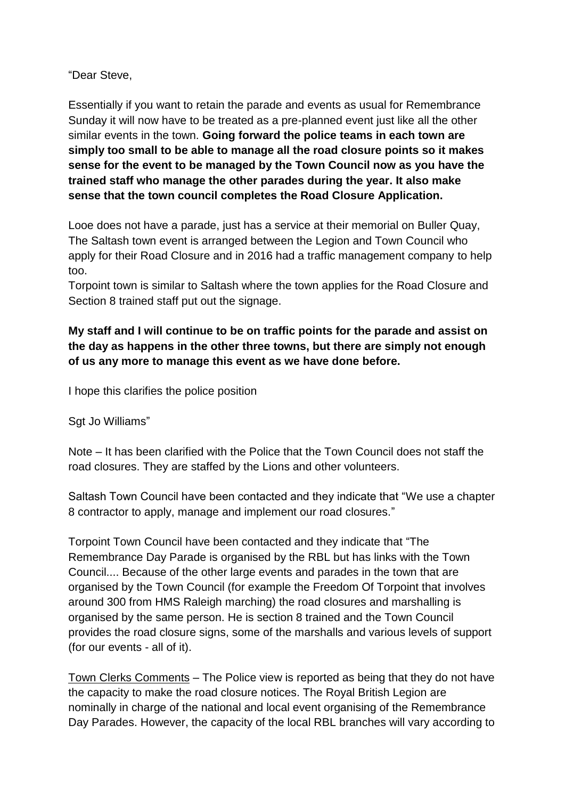"Dear Steve,

Essentially if you want to retain the parade and events as usual for Remembrance Sunday it will now have to be treated as a pre-planned event just like all the other similar events in the town. **Going forward the police teams in each town are simply too small to be able to manage all the road closure points so it makes sense for the event to be managed by the Town Council now as you have the trained staff who manage the other parades during the year. It also make sense that the town council completes the Road Closure Application.**

Looe does not have a parade, just has a service at their memorial on Buller Quay, The Saltash town event is arranged between the Legion and Town Council who apply for their Road Closure and in 2016 had a traffic management company to help too.

Torpoint town is similar to Saltash where the town applies for the Road Closure and Section 8 trained staff put out the signage.

### **My staff and I will continue to be on traffic points for the parade and assist on the day as happens in the other three towns, but there are simply not enough of us any more to manage this event as we have done before.**

I hope this clarifies the police position

Sgt Jo Williams"

Note – It has been clarified with the Police that the Town Council does not staff the road closures. They are staffed by the Lions and other volunteers.

Saltash Town Council have been contacted and they indicate that "We use a chapter 8 contractor to apply, manage and implement our road closures."

Torpoint Town Council have been contacted and they indicate that "The Remembrance Day Parade is organised by the RBL but has links with the Town Council.... Because of the other large events and parades in the town that are organised by the Town Council (for example the Freedom Of Torpoint that involves around 300 from HMS Raleigh marching) the road closures and marshalling is organised by the same person. He is section 8 trained and the Town Council provides the road closure signs, some of the marshalls and various levels of support (for our events - all of it).

Town Clerks Comments – The Police view is reported as being that they do not have the capacity to make the road closure notices. The Royal British Legion are nominally in charge of the national and local event organising of the Remembrance Day Parades. However, the capacity of the local RBL branches will vary according to